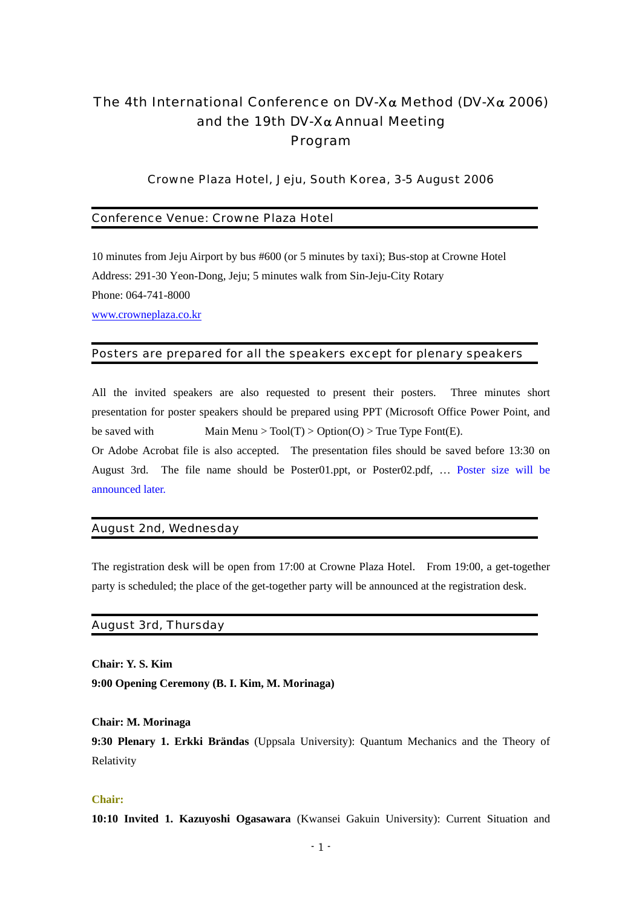# The 4th International Conference on DV-Xα Method (DV-Xα 2006) and the 19th DV-X $\alpha$  Annual Meeting Program

## Crowne Plaza Hotel, Jeju, South Korea, 3-5 August 2006

## Conference Venue: Crowne Plaza Hotel

10 minutes from Jeju Airport by bus #600 (or 5 minutes by taxi); Bus-stop at Crowne Hotel Address: 291-30 Yeon-Dong, Jeju; 5 minutes walk from Sin-Jeju-City Rotary Phone: 064-741-8000 [www.crowneplaza.co.kr](http://www.crowneplaza.co.kr/)

## Posters are prepared for all the speakers except for plenary speakers

All the invited speakers are also requested to present their posters. Three minutes short presentation for poster speakers should be prepared using PPT (Microsoft Office Power Point, and be saved with Main Menu > Tool(T) > Option(O) > True Type Font(E).

Or Adobe Acrobat file is also accepted. The presentation files should be saved before 13:30 on August 3rd. The file name should be Poster01.ppt, or Poster02.pdf, … Poster size will be announced later.

## August 2nd, Wednesday

The registration desk will be open from 17:00 at Crowne Plaza Hotel. From 19:00, a get-together party is scheduled; the place of the get-together party will be announced at the registration desk.

## August 3rd, Thursday

**Chair: Y. S. Kim 9:00 Opening Ceremony (B. I. Kim, M. Morinaga)** 

#### **Chair: M. Morinaga**

**9:30 Plenary 1. Erkki Brändas** (Uppsala University): Quantum Mechanics and the Theory of Relativity

## **Chair:**

**10:10 Invited 1. Kazuyoshi Ogasawara** (Kwansei Gakuin University): Current Situation and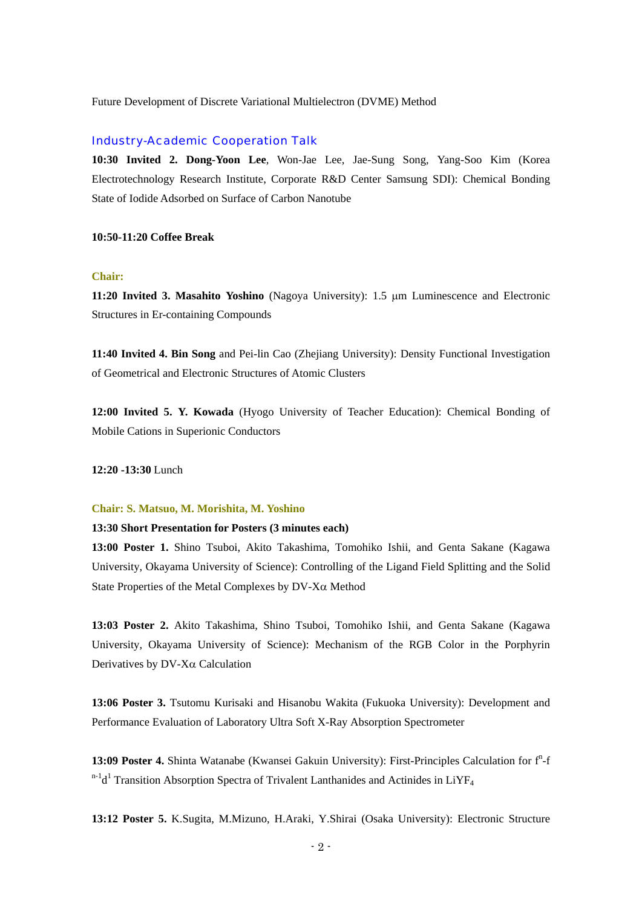Future Development of Discrete Variational Multielectron (DVME) Method

# Industry-Academic Cooperation Talk

**10:30 Invited 2. Dong-Yoon Lee**, Won-Jae Lee, Jae-Sung Song, Yang-Soo Kim (Korea Electrotechnology Research Institute, Corporate R&D Center Samsung SDI): Chemical Bonding State of Iodide Adsorbed on Surface of Carbon Nanotube

#### **10:50-11:20 Coffee Break**

## **Chair:**

**11:20 Invited 3. Masahito Yoshino** (Nagoya University): 1.5 μm Luminescence and Electronic Structures in Er-containing Compounds

**11:40 Invited 4. Bin Song** and Pei-lin Cao (Zhejiang University): Density Functional Investigation of Geometrical and Electronic Structures of Atomic Clusters

**12:00 Invited 5. Y. Kowada** (Hyogo University of Teacher Education): Chemical Bonding of Mobile Cations in Superionic Conductors

**12:20 -13:30** Lunch

### **Chair: S. Matsuo, M. Morishita, M. Yoshino**

## **13:30 Short Presentation for Posters (3 minutes each)**

**13:00 Poster 1.** Shino Tsuboi, Akito Takashima, Tomohiko Ishii, and Genta Sakane (Kagawa University, Okayama University of Science): Controlling of the Ligand Field Splitting and the Solid State Properties of the Metal Complexes by DV-Xα Method

**13:03 Poster 2.** Akito Takashima, Shino Tsuboi, Tomohiko Ishii, and Genta Sakane (Kagawa University, Okayama University of Science): Mechanism of the RGB Color in the Porphyrin Derivatives by DV-Xα Calculation

**13:06 Poster 3.** Tsutomu Kurisaki and Hisanobu Wakita (Fukuoka University): Development and Performance Evaluation of Laboratory Ultra Soft X-Ray Absorption Spectrometer

13:09 Poster 4. Shinta Watanabe (Kwansei Gakuin University): First-Principles Calculation for f<sup>n</sup>-f  $n-1d<sup>1</sup>$  Transition Absorption Spectra of Trivalent Lanthanides and Actinides in LiYF<sub>4</sub>

**13:12 Poster 5.** K.Sugita, M.Mizuno, H.Araki, Y.Shirai (Osaka University): Electronic Structure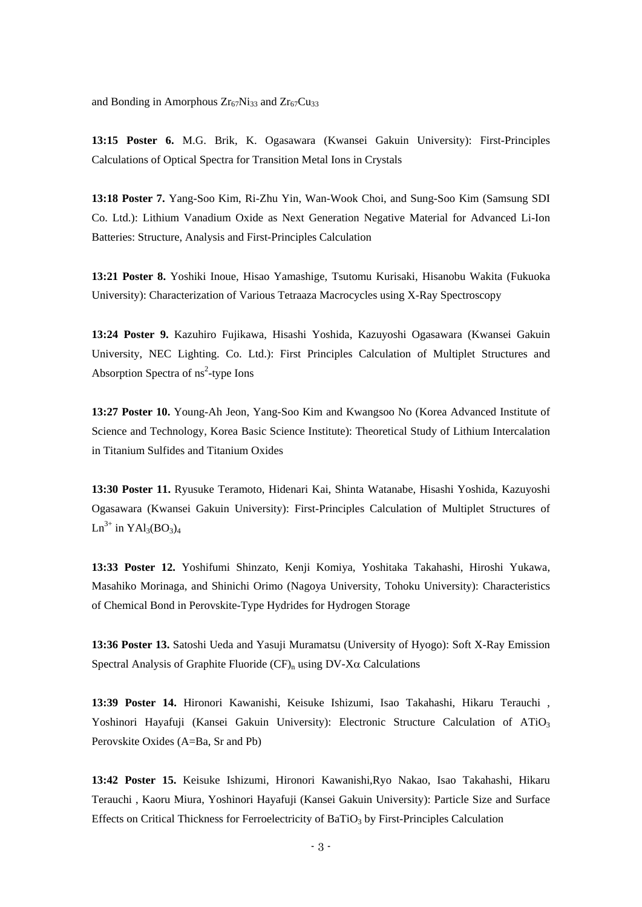and Bonding in Amorphous  $Zr_{67}Ni_{33}$  and  $Zr_{67}Cu_{33}$ 

**13:15 Poster 6.** M.G. Brik, K. Ogasawara (Kwansei Gakuin University): First-Principles Calculations of Optical Spectra for Transition Metal Ions in Crystals

**13:18 Poster 7.** Yang-Soo Kim, Ri-Zhu Yin, Wan-Wook Choi, and Sung-Soo Kim (Samsung SDI Co. Ltd.): Lithium Vanadium Oxide as Next Generation Negative Material for Advanced Li-Ion Batteries: Structure, Analysis and First-Principles Calculation

**13:21 Poster 8.** Yoshiki Inoue, Hisao Yamashige, Tsutomu Kurisaki, Hisanobu Wakita (Fukuoka University): Characterization of Various Tetraaza Macrocycles using X-Ray Spectroscopy

**13:24 Poster 9.** Kazuhiro Fujikawa, Hisashi Yoshida, Kazuyoshi Ogasawara (Kwansei Gakuin University, NEC Lighting. Co. Ltd.): First Principles Calculation of Multiplet Structures and Absorption Spectra of  $\text{ns}^2$ -type Ions

**13:27 Poster 10.** Young-Ah Jeon, Yang-Soo Kim and Kwangsoo No (Korea Advanced Institute of Science and Technology, Korea Basic Science Institute): Theoretical Study of Lithium Intercalation in Titanium Sulfides and Titanium Oxides

**13:30 Poster 11.** Ryusuke Teramoto, Hidenari Kai, Shinta Watanabe, Hisashi Yoshida, Kazuyoshi Ogasawara (Kwansei Gakuin University): First-Principles Calculation of Multiplet Structures of  $Ln^{3+}$  in YAl3(BO3)<sub>4</sub>

**13:33 Poster 12.** Yoshifumi Shinzato, Kenji Komiya, Yoshitaka Takahashi, Hiroshi Yukawa, Masahiko Morinaga, and Shinichi Orimo (Nagoya University, Tohoku University): Characteristics of Chemical Bond in Perovskite-Type Hydrides for Hydrogen Storage

**13:36 Poster 13.** Satoshi Ueda and Yasuji Muramatsu (University of Hyogo): Soft X-Ray Emission Spectral Analysis of Graphite Fluoride  $(CF)$ <sub>n</sub> using  $DV-X\alpha$  Calculations

**13:39 Poster 14.** Hironori Kawanishi, Keisuke Ishizumi, Isao Takahashi, Hikaru Terauchi , Yoshinori Hayafuji (Kansei Gakuin University): Electronic Structure Calculation of ATiO<sub>3</sub> Perovskite Oxides (A=Ba, Sr and Pb)

**13:42 Poster 15.** Keisuke Ishizumi, Hironori Kawanishi,Ryo Nakao, Isao Takahashi, Hikaru Terauchi , Kaoru Miura, Yoshinori Hayafuji (Kansei Gakuin University): Particle Size and Surface Effects on Critical Thickness for Ferroelectricity of BaTiO<sub>3</sub> by First-Principles Calculation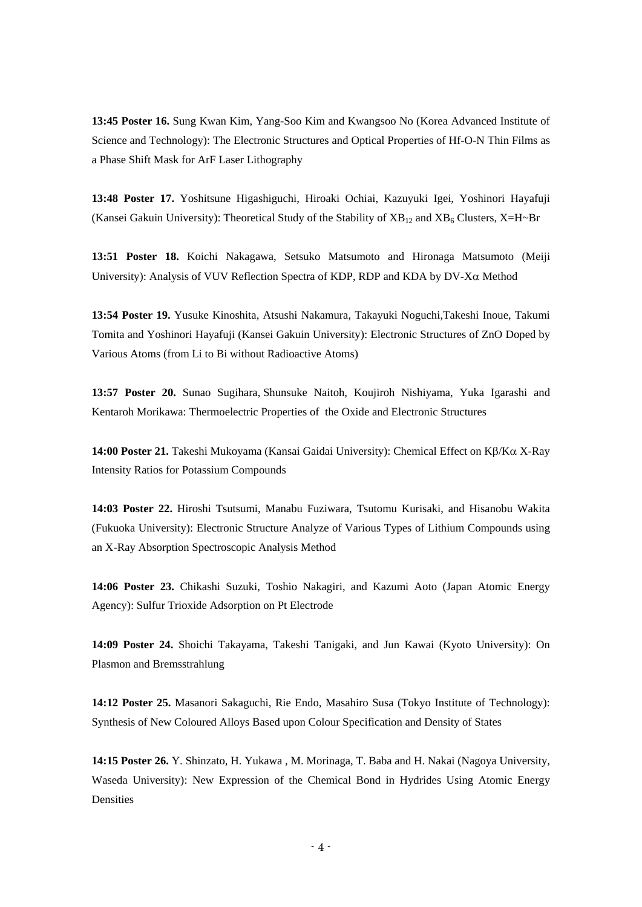**13:45 Poster 16.** Sung Kwan Kim, Yang-Soo Kim and Kwangsoo No (Korea Advanced Institute of Science and Technology): The Electronic Structures and Optical Properties of Hf-O-N Thin Films as a Phase Shift Mask for ArF Laser Lithography

**13:48 Poster 17.** Yoshitsune Higashiguchi, Hiroaki Ochiai, Kazuyuki Igei, Yoshinori Hayafuji (Kansei Gakuin University): Theoretical Study of the Stability of  $XB_{12}$  and  $XB_6$  Clusters, X=H~Br

**13:51 Poster 18.** Koichi Nakagawa, Setsuko Matsumoto and Hironaga Matsumoto (Meiji University): Analysis of VUV Reflection Spectra of KDP, RDP and KDA by DV-Xα Method

**13:54 Poster 19.** Yusuke Kinoshita, Atsushi Nakamura, Takayuki Noguchi,Takeshi Inoue, Takumi Tomita and Yoshinori Hayafuji (Kansei Gakuin University): Electronic Structures of ZnO Doped by Various Atoms (from Li to Bi without Radioactive Atoms)

**13:57 Poster 20.** Sunao Sugihara, Shunsuke Naitoh, Koujiroh Nishiyama, Yuka Igarashi and Kentaroh Morikawa: Thermoelectric Properties of the Oxide and Electronic Structures

**14:00 Poster 21.** Takeshi Mukoyama (Kansai Gaidai University): Chemical Effect on Kβ/Kα X-Ray Intensity Ratios for Potassium Compounds

**14:03 Poster 22.** Hiroshi Tsutsumi, Manabu Fuziwara, Tsutomu Kurisaki, and Hisanobu Wakita (Fukuoka University): Electronic Structure Analyze of Various Types of Lithium Compounds using an X-Ray Absorption Spectroscopic Analysis Method

**14:06 Poster 23.** Chikashi Suzuki, Toshio Nakagiri, and Kazumi Aoto (Japan Atomic Energy Agency): Sulfur Trioxide Adsorption on Pt Electrode

**14:09 Poster 24.** Shoichi Takayama, Takeshi Tanigaki, and Jun Kawai (Kyoto University): On Plasmon and Bremsstrahlung

**14:12 Poster 25.** Masanori Sakaguchi, Rie Endo, Masahiro Susa (Tokyo Institute of Technology): Synthesis of New Coloured Alloys Based upon Colour Specification and Density of States

**14:15 Poster 26.** Y. Shinzato, H. Yukawa , M. Morinaga, T. Baba and H. Nakai (Nagoya University, Waseda University): New Expression of the Chemical Bond in Hydrides Using Atomic Energy **Densities**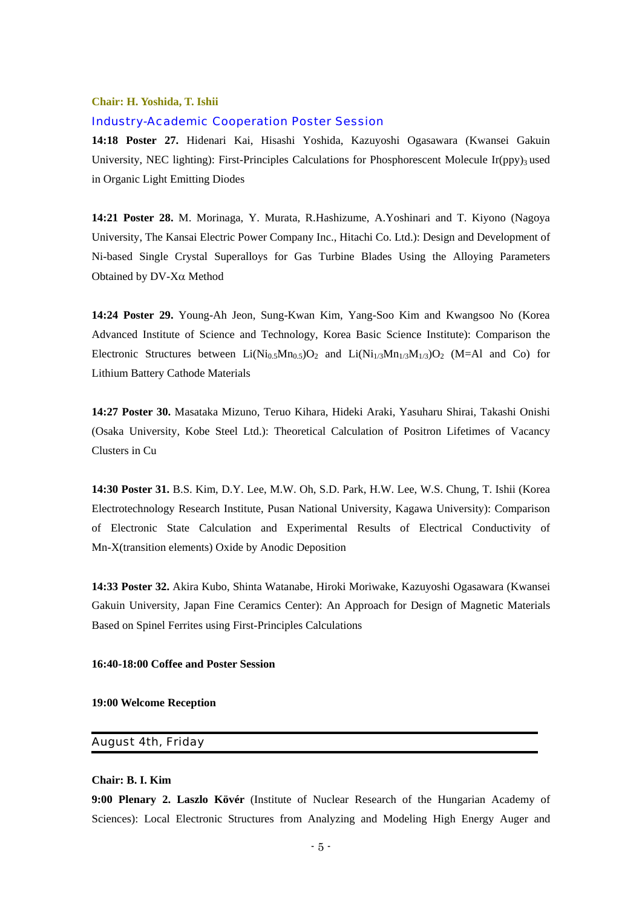### **Chair: H. Yoshida, T. Ishii**

#### Industry-Academic Cooperation Poster Session

**14:18 Poster 27.** Hidenari Kai, Hisashi Yoshida, Kazuyoshi Ogasawara (Kwansei Gakuin University, NEC lighting): First-Principles Calculations for Phosphorescent Molecule Ir(ppy)<sub>3</sub> used in Organic Light Emitting Diodes

**14:21 Poster 28.** M. Morinaga, Y. Murata, R.Hashizume, A.Yoshinari and T. Kiyono (Nagoya University, The Kansai Electric Power Company Inc., Hitachi Co. Ltd.): Design and Development of Ni-based Single Crystal Superalloys for Gas Turbine Blades Using the Alloying Parameters Obtained by DV-Xα Method

**14:24 Poster 29.** Young-Ah Jeon, Sung-Kwan Kim, Yang-Soo Kim and Kwangsoo No (Korea Advanced Institute of Science and Technology, Korea Basic Science Institute): Comparison the Electronic Structures between  $Li(Ni_{0.5}Mn_{0.5})O_2$  and  $Li(Ni_{1/3}Mn_{1/3}M_{1/3})O_2$  (M=Al and Co) for Lithium Battery Cathode Materials

**14:27 Poster 30.** Masataka Mizuno, Teruo Kihara, Hideki Araki, Yasuharu Shirai, Takashi Onishi (Osaka University, Kobe Steel Ltd.): Theoretical Calculation of Positron Lifetimes of Vacancy Clusters in Cu

**14:30 Poster 31.** B.S. Kim, D.Y. Lee, M.W. Oh, S.D. Park, H.W. Lee, W.S. Chung, T. Ishii (Korea Electrotechnology Research Institute, Pusan National University, Kagawa University): Comparison of Electronic State Calculation and Experimental Results of Electrical Conductivity of Mn-X(transition elements) Oxide by Anodic Deposition

**14:33 Poster 32.** Akira Kubo, Shinta Watanabe, Hiroki Moriwake, Kazuyoshi Ogasawara (Kwansei Gakuin University, Japan Fine Ceramics Center): An Approach for Design of Magnetic Materials Based on Spinel Ferrites using First-Principles Calculations

#### **16:40-18:00 Coffee and Poster Session**

#### **19:00 Welcome Reception**

# August 4th, Friday

#### **Chair: B. I. Kim**

**9:00 Plenary 2. Laszlo Kövér** (Institute of Nuclear Research of the Hungarian Academy of Sciences): Local Electronic Structures from Analyzing and Modeling High Energy Auger and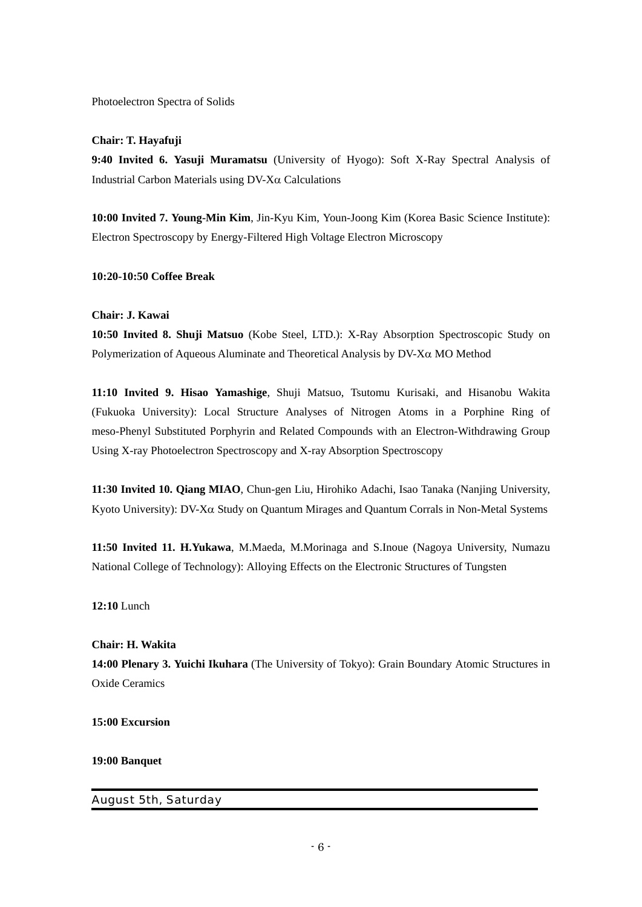Photoelectron Spectra of Solids

## **Chair: T. Hayafuji**

**9:40 Invited 6. Yasuji Muramatsu** (University of Hyogo): Soft X-Ray Spectral Analysis of Industrial Carbon Materials using DV-Xα Calculations

**10:00 Invited 7. Young-Min Kim**, Jin-Kyu Kim, Youn-Joong Kim (Korea Basic Science Institute): Electron Spectroscopy by Energy-Filtered High Voltage Electron Microscopy

## **10:20-10:50 Coffee Break**

## **Chair: J. Kawai**

**10:50 Invited 8. Shuji Matsuo** (Kobe Steel, LTD.): X-Ray Absorption Spectroscopic Study on Polymerization of Aqueous Aluminate and Theoretical Analysis by DV-Xα MO Method

**11:10 Invited 9. Hisao Yamashige**, Shuji Matsuo, Tsutomu Kurisaki, and Hisanobu Wakita (Fukuoka University): Local Structure Analyses of Nitrogen Atoms in a Porphine Ring of meso-Phenyl Substituted Porphyrin and Related Compounds with an Electron-Withdrawing Group Using X-ray Photoelectron Spectroscopy and X-ray Absorption Spectroscopy

**11:30 Invited 10. Qiang MIAO**, Chun-gen Liu, Hirohiko Adachi, Isao Tanaka (Nanjing University, Kyoto University): DV-Xα Study on Quantum Mirages and Quantum Corrals in Non-Metal Systems

**11:50 Invited 11. H.Yukawa**, M.Maeda, M.Morinaga and S.Inoue (Nagoya University, Numazu National College of Technology): Alloying Effects on the Electronic Structures of Tungsten

**12:10** Lunch

# **Chair: H. Wakita 14:00 Plenary 3. Yuichi Ikuhara** (The University of Tokyo): Grain Boundary Atomic Structures in Oxide Ceramics

**15:00 Excursion** 

**19:00 Banquet** 

# August 5th, Saturday